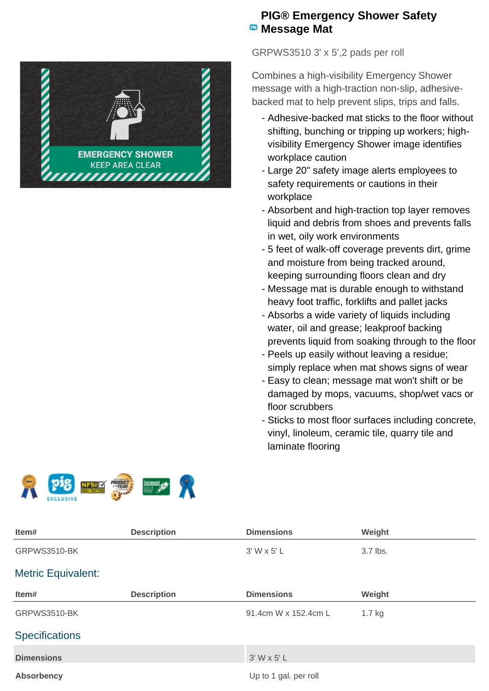

## **PIG® Emergency Shower Safety Message Mat**

GRPWS3510 3' x 5',2 pads per roll

Combines a high-visibility Emergency Shower message with a high-traction non-slip, adhesivebacked mat to help prevent slips, trips and falls.

- Adhesive-backed mat sticks to the floor without shifting, bunching or tripping up workers; highvisibility Emergency Shower image identifies workplace caution
- Large 20" safety image alerts employees to safety requirements or cautions in their workplace
- Absorbent and high-traction top layer removes liquid and debris from shoes and prevents falls in wet, oily work environments
- 5 feet of walk-off coverage prevents dirt, grime and moisture from being tracked around, keeping surrounding floors clean and dry
- Message mat is durable enough to withstand heavy foot traffic, forklifts and pallet jacks
- Absorbs a wide variety of liquids including water, oil and grease; leakproof backing prevents liquid from soaking through to the floor
- Peels up easily without leaving a residue; simply replace when mat shows signs of wear
- Easy to clean; message mat won't shift or be damaged by mops, vacuums, shop/wet vacs or floor scrubbers
- Sticks to most floor surfaces including concrete, vinyl, linoleum, ceramic tile, quarry tile and laminate flooring



| Item#                     | <b>Description</b> | <b>Dimensions</b>     | Weight   |
|---------------------------|--------------------|-----------------------|----------|
| GRPWS3510-BK              |                    | 3' W x 5' L           | 3.7 lbs. |
| <b>Metric Equivalent:</b> |                    |                       |          |
| Item#                     | <b>Description</b> | <b>Dimensions</b>     | Weight   |
| GRPWS3510-BK              |                    | 91.4cm W x 152.4cm L  | $1.7$ kg |
| <b>Specifications</b>     |                    |                       |          |
| <b>Dimensions</b>         |                    | $3'$ W x 5' L         |          |
| <b>Absorbency</b>         |                    | Up to 1 gal. per roll |          |